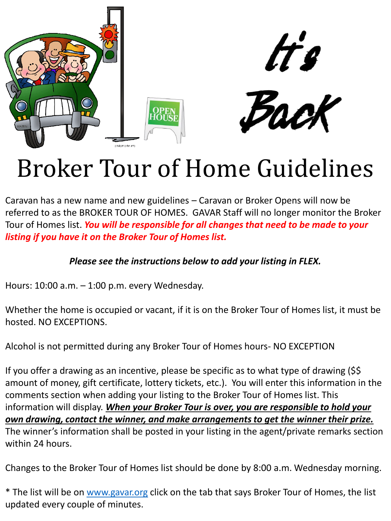

tt's



# Broker Tour of Home Guidelines

Caravan has a new name and new guidelines – Caravan or Broker Opens will now be referred to as the BROKER TOUR OF HOMES. GAVAR Staff will no longer monitor the Broker Tour of Homes list. *You will be responsible for all changes that need to be made to your listing if you have it on the Broker Tour of Homes list.* 

### *Please see the instructions below to add your listing in FLEX.*

Hours: 10:00 a.m. – 1:00 p.m. every Wednesday.

Whether the home is occupied or vacant, if it is on the Broker Tour of Homes list, it must be hosted. NO EXCEPTIONS.

Alcohol is not permitted during any Broker Tour of Homes hours- NO EXCEPTION

If you offer a drawing as an incentive, please be specific as to what type of drawing (\$\$ amount of money, gift certificate, lottery tickets, etc.). You will enter this information in the comments section when adding your listing to the Broker Tour of Homes list. This information will display. *When your Broker Tour is over, you are responsible to hold your own drawing, contact the winner, and make arrangements to get the winner their prize.*  The winner's information shall be posted in your listing in the agent/private remarks section within 24 hours.

Changes to the Broker Tour of Homes list should be done by 8:00 a.m. Wednesday morning.

\* The list will be on [www.gavar.org](http://www.gavar.org/) click on the tab that says Broker Tour of Homes, the list updated every couple of minutes.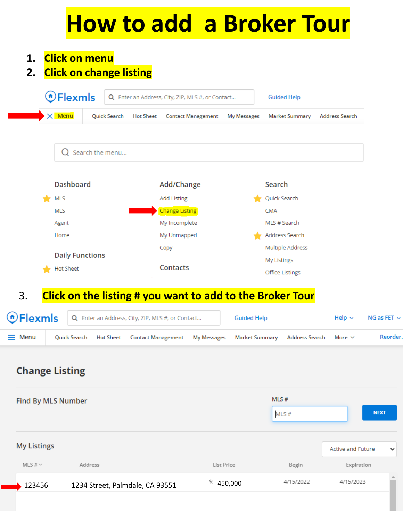# **How to add a Broker Tour**

- **1. Click on menu**
- **2. Click on change listing**

| OFlexmls               |                 |                  | Q Enter an Address, City, ZIP, MLS #, or Contact |             | <b>Guided Help</b>    |                       |
|------------------------|-----------------|------------------|--------------------------------------------------|-------------|-----------------------|-----------------------|
| $\times$ Menu          | Quick Search    | <b>Hot Sheet</b> | <b>Contact Management</b>                        | My Messages | <b>Market Summary</b> | <b>Address Search</b> |
|                        | Search the menu |                  |                                                  |             |                       |                       |
| <b>Dashboard</b>       |                 |                  | Add/Change                                       |             | Search                |                       |
| MLS                    |                 |                  | <b>Add Listing</b>                               |             | Quick Search          |                       |
| <b>MLS</b>             |                 |                  | Change Listing                                   |             | <b>CMA</b>            |                       |
| Agent                  |                 |                  | My Incomplete                                    |             | MLS # Search          |                       |
| Home                   |                 |                  | My Unmapped                                      |             | Address Search        |                       |
|                        |                 |                  | Copy                                             |             | Multiple Address      |                       |
|                        |                 |                  |                                                  |             | My Listings           |                       |
| <b>Daily Functions</b> |                 |                  | <b>Contacts</b>                                  |             |                       |                       |

## 3. **Click on the listing # you want to add to the Broker Tour**

|               |  | <b>OFlexmls</b> Q Enter an Address, City, ZIP, MLS #, or Contact                                | <b>Guided Help</b> | Help $\sim$ | NG as FET $\sim$ |
|---------------|--|-------------------------------------------------------------------------------------------------|--------------------|-------------|------------------|
| $\equiv$ Menu |  | Quick Search Hot Sheet Contact Management My Messages Market Summary Address Search More $\vee$ |                    |             | Reorder.         |

## **Change Listing**

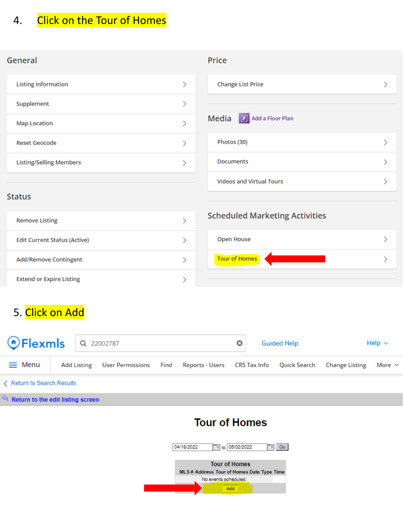#### **Click on the Tour of Homes** 4.

#### General

| Supplement<br><b>Map Location</b><br><b>Reset Geocode</b> | <b>Listing Information</b> |  |
|-----------------------------------------------------------|----------------------------|--|
|                                                           |                            |  |
|                                                           |                            |  |
|                                                           |                            |  |
| <b>Listing/Selling Members</b>                            |                            |  |

#### Price

| <b>Change List Price</b>        |  |
|---------------------------------|--|
| Media<br>Add a Floor Plan       |  |
| Photos (30)                     |  |
| <b>Documents</b>                |  |
| <b>Videos and Virtual Tours</b> |  |

#### **Status**

| <b>Remove Listing</b>               |  |
|-------------------------------------|--|
| <b>Edit Current Status (Active)</b> |  |
| <b>Add/Remove Contingent</b>        |  |
| <b>Extend or Expire Listing</b>     |  |

### **Scheduled Marketing Activities**

| <b>Tour of Homes</b> | Open House |  |
|----------------------|------------|--|
|                      |            |  |

## 5. Click on Add

| <b>OFlexmls</b> Q 22002787 |  |                                                                                            |  | o | <b>Guided Help</b> | Help $\sim$ |
|----------------------------|--|--------------------------------------------------------------------------------------------|--|---|--------------------|-------------|
| $\equiv$ Menu              |  | Add Listing User Permissions Find Reports - Users CRS Tax Info Quick Search Change Listing |  |   |                    | More $\vee$ |
| Return to Search Results   |  |                                                                                            |  |   |                    |             |

 $\leftarrow$  Return to the edit listing screen

## **Tour of Homes**